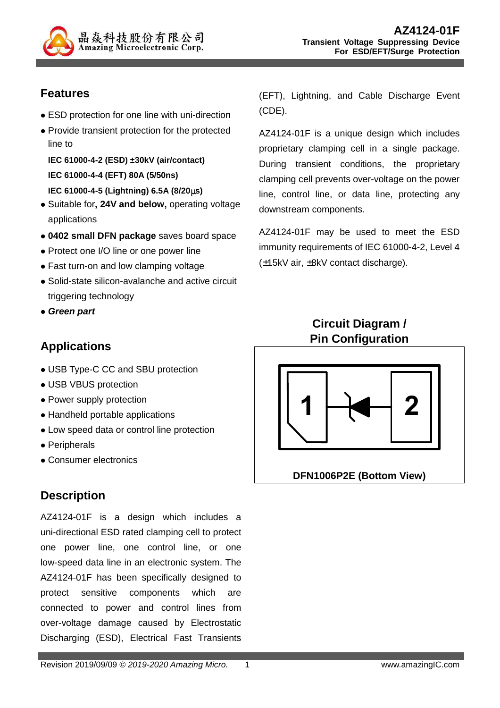

# **Features**

- ESD protection for one line with uni-direction
- Provide transient protection for the protected line to

**IEC 61000-4-2 (ESD) ±30kV (air/contact) IEC 61000-4-4 (EFT) 80A (5/50ns)** 

- **IEC 61000-4-5 (Lightning) 6.5A (8/20**µ**s)**
- Suitable for**, 24V and below,** operating voltage applications
- **0402 small DFN package** saves board space
- Protect one I/O line or one power line
- Fast turn-on and low clamping voltage
- Solid-state silicon-avalanche and active circuit triggering technology
- **Green part**

# **Applications**

- USB Type-C CC and SBU protection
- USB VBUS protection
- Power supply protection
- Handheld portable applications
- Low speed data or control line protection
- Peripherals
- Consumer electronics

# **Description**

AZ4124-01F is a design which includes a uni-directional ESD rated clamping cell to protect one power line, one control line, or one low-speed data line in an electronic system. The AZ4124-01F has been specifically designed to protect sensitive components which are connected to power and control lines from over-voltage damage caused by Electrostatic Discharging (ESD), Electrical Fast Transients (EFT), Lightning, and Cable Discharge Event (CDE).

AZ4124-01F is a unique design which includes proprietary clamping cell in a single package. During transient conditions, the proprietary clamping cell prevents over-voltage on the power line, control line, or data line, protecting any downstream components.

AZ4124-01F may be used to meet the ESD immunity requirements of IEC 61000-4-2, Level 4 (±15kV air, ±8kV contact discharge).

## **Circuit Diagram / Pin Configuration**



**DFN1006P2E (Bottom View)**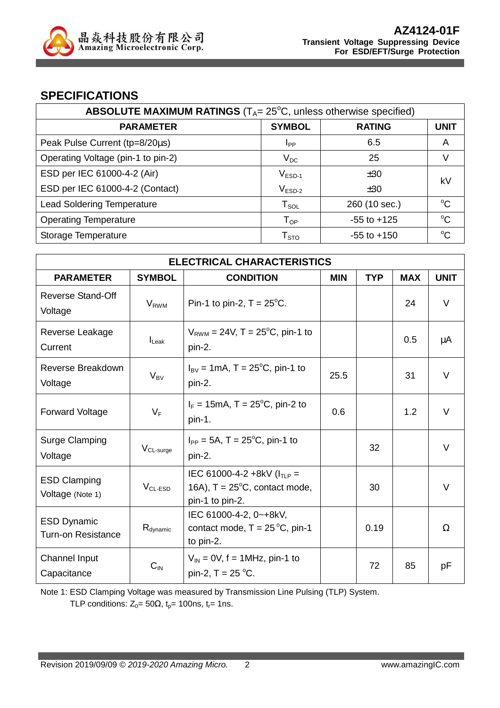

#### **SPECIFICATIONS**

| ABSOLUTE MAXIMUM RATINGS $(T_A = 25^{\circ}C,$ unless otherwise specified) |                        |                 |             |  |
|----------------------------------------------------------------------------|------------------------|-----------------|-------------|--|
| <b>PARAMETER</b>                                                           | <b>SYMBOL</b>          | <b>RATING</b>   | <b>UNIT</b> |  |
| Peak Pulse Current (tp=8/20µs)                                             | <b>I</b> <sub>PP</sub> | 6.5             | Α           |  |
| Operating Voltage (pin-1 to pin-2)                                         | $V_{DC}$               | 25              | V           |  |
| ESD per IEC 61000-4-2 (Air)                                                | $V_{ESD-1}$            | ±30             | kV          |  |
| ESD per IEC 61000-4-2 (Contact)                                            | $V_{ESD-2}$            | ±30             |             |  |
| <b>Lead Soldering Temperature</b>                                          | $T_{SOL}$              | 260 (10 sec.)   | $\rm ^{o}C$ |  |
| <b>Operating Temperature</b>                                               | $T_{OP}$               | $-55$ to $+125$ | $^{\circ}C$ |  |
| Storage Temperature                                                        | ${\sf T}_{\text{STO}}$ | $-55$ to $+150$ | °C          |  |

| <b>ELECTRICAL CHARACTERISTICS</b>               |                         |                                                                                                |            |            |            |             |
|-------------------------------------------------|-------------------------|------------------------------------------------------------------------------------------------|------------|------------|------------|-------------|
| <b>PARAMETER</b>                                | <b>SYMBOL</b>           | <b>CONDITION</b>                                                                               | <b>MIN</b> | <b>TYP</b> | <b>MAX</b> | <b>UNIT</b> |
| <b>Reverse Stand-Off</b><br>Voltage             | <b>V</b> <sub>RWM</sub> | Pin-1 to pin-2, $T = 25^{\circ}$ C.                                                            |            |            | 24         | $\vee$      |
| Reverse Leakage<br>Current                      | $I_{\text{Leak}}$       | $V_{RWM} = 24V$ , T = 25 <sup>o</sup> C, pin-1 to<br>pin-2.                                    |            |            | 0.5        | μA          |
| Reverse Breakdown<br>Voltage                    | $V_{BV}$                | $I_{BV} = 1 \text{mA}, T = 25^{\circ}\text{C}, \text{pin-1 to}$<br>pin-2.                      | 25.5       |            | 31         | $\vee$      |
| <b>Forward Voltage</b>                          | $V_F$                   | $I_F = 15 \text{mA}, T = 25^{\circ}\text{C}, \text{pin-2 to}$<br>pin-1.                        | 0.6        |            | 1.2        | $\vee$      |
| <b>Surge Clamping</b><br>Voltage                | $V_{CL-surge}$          | $I_{PP} = 5A$ , T = 25 <sup>o</sup> C, pin-1 to<br>pin-2.                                      |            | 32         |            | $\vee$      |
| <b>ESD Clamping</b><br>Voltage (Note 1)         | $V_{CL-ESD}$            | IEC 61000-4-2 +8kV ( $I_{TLP}$ =<br>16A), $T = 25^{\circ}C$ , contact mode,<br>pin-1 to pin-2. |            | 30         |            | $\vee$      |
| <b>ESD Dynamic</b><br><b>Turn-on Resistance</b> | $R_{\text{dynamic}}$    | IEC 61000-4-2, 0~+8kV,<br>contact mode, $T = 25^{\circ}C$ , pin-1<br>to pin-2.                 |            | 0.19       |            | $\Omega$    |
| Channel Input<br>Capacitance                    | $C_{IN}$                | $V_{IN}$ = 0V, f = 1MHz, pin-1 to<br>pin-2, $T = 25 °C$ .                                      |            | 72         | 85         | pF          |

Note 1: ESD Clamping Voltage was measured by Transmission Line Pulsing (TLP) System.

TLP conditions:  $Z_0 = 50\Omega$ ,  $t_p = 100$ ns,  $t_r = 1$ ns.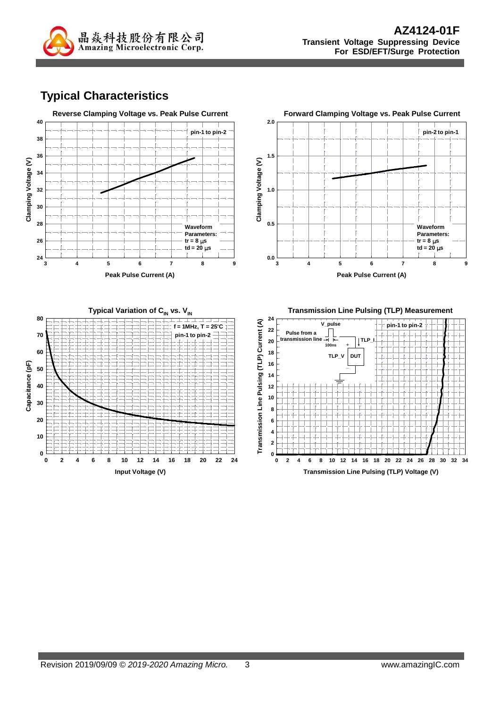

# **Typical Characteristics**



**Transmission Line Pulsing (TLP) Voltage (V)**

**Input Voltage (V)**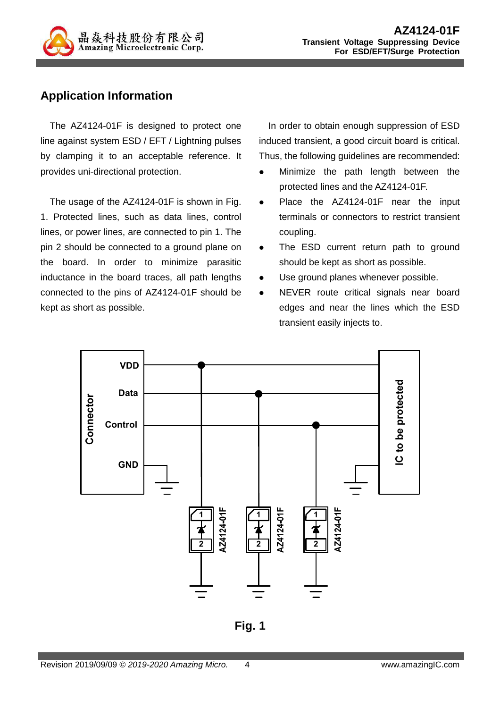

## **Application Information**

The AZ4124-01F is designed to protect one line against system ESD / EFT / Lightning pulses by clamping it to an acceptable reference. It provides uni-directional protection.

The usage of the AZ4124-01F is shown in Fig. 1. Protected lines, such as data lines, control lines, or power lines, are connected to pin 1. The pin 2 should be connected to a ground plane on the board. In order to minimize parasitic inductance in the board traces, all path lengths connected to the pins of AZ4124-01F should be kept as short as possible.

In order to obtain enough suppression of ESD induced transient, a good circuit board is critical. Thus, the following guidelines are recommended:

- Minimize the path length between the protected lines and the AZ4124-01F.
- Place the AZ4124-01F near the input terminals or connectors to restrict transient coupling.
- The ESD current return path to ground should be kept as short as possible.
- Use ground planes whenever possible.
- NEVER route critical signals near board edges and near the lines which the ESD transient easily injects to.



**Fig. 1**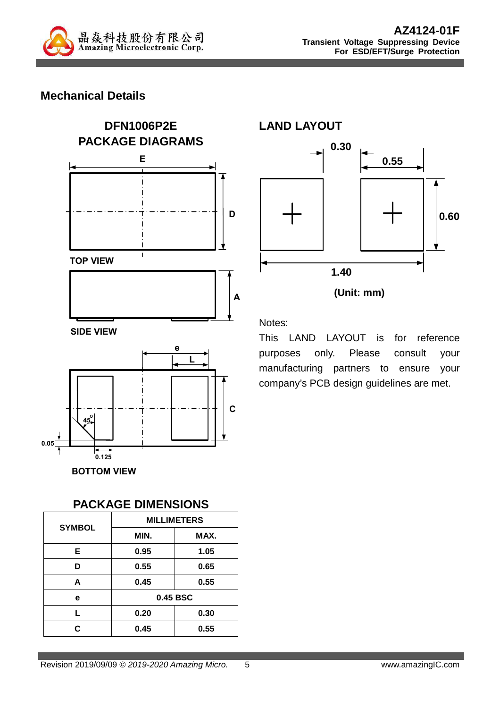

### **Mechanical Details**



# **PACKAGE DIMENSIONS SYMBOL MILLIMETERS MIN. MAX. E 0.95 1.05 D 0.55 0.65 A 0.45 0.55 e 0.45 BSC L 0.20 0.30 C 0.45 0.55**



**0.30**

**LAND LAYOUT** 

Notes:

This LAND LAYOUT is for reference purposes only. Please consult your manufacturing partners to ensure your company's PCB design guidelines are met.